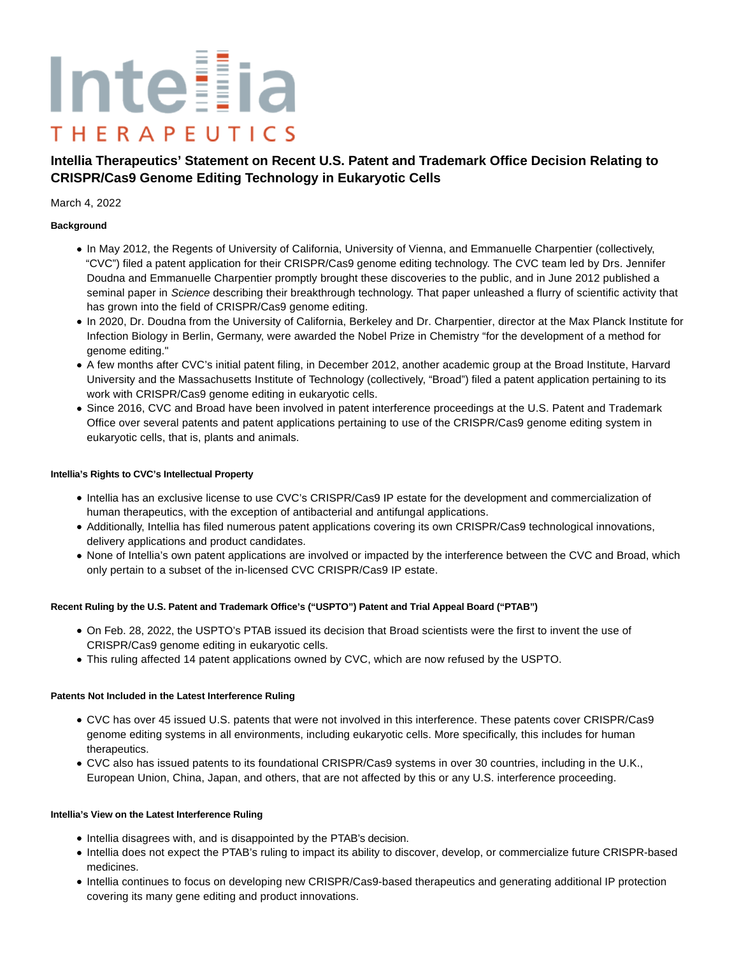# Inteilia **THERAPEUTICS**

# **Intellia Therapeutics' Statement on Recent U.S. Patent and Trademark Office Decision Relating to CRISPR/Cas9 Genome Editing Technology in Eukaryotic Cells**

#### March 4, 2022

### **Background**

- In May 2012, the Regents of University of California, University of Vienna, and Emmanuelle Charpentier (collectively, "CVC") filed a patent application for their CRISPR/Cas9 genome editing technology. The CVC team led by Drs. Jennifer Doudna and Emmanuelle Charpentier promptly brought these discoveries to the public, and in June 2012 published a seminal paper in Science describing their breakthrough technology. That paper unleashed a flurry of scientific activity that has grown into the field of CRISPR/Cas9 genome editing.
- In 2020, Dr. Doudna from the University of California, Berkeley and Dr. Charpentier, director at the Max Planck Institute for Infection Biology in Berlin, Germany, were awarded the Nobel Prize in Chemistry "for the development of a method for genome editing."
- A few months after CVC's initial patent filing, in December 2012, another academic group at the Broad Institute, Harvard University and the Massachusetts Institute of Technology (collectively, "Broad") filed a patent application pertaining to its work with CRISPR/Cas9 genome editing in eukaryotic cells.
- Since 2016, CVC and Broad have been involved in patent interference proceedings at the U.S. Patent and Trademark Office over several patents and patent applications pertaining to use of the CRISPR/Cas9 genome editing system in eukaryotic cells, that is, plants and animals.

#### **Intellia's Rights to CVC's Intellectual Property**

- Intellia has an exclusive license to use CVC's CRISPR/Cas9 IP estate for the development and commercialization of human therapeutics, with the exception of antibacterial and antifungal applications.
- Additionally, Intellia has filed numerous patent applications covering its own CRISPR/Cas9 technological innovations, delivery applications and product candidates.
- None of Intellia's own patent applications are involved or impacted by the interference between the CVC and Broad, which only pertain to a subset of the in-licensed CVC CRISPR/Cas9 IP estate.

## **Recent Ruling by the U.S. Patent and Trademark Office's ("USPTO") Patent and Trial Appeal Board ("PTAB")**

- On Feb. 28, 2022, the USPTO's PTAB issued its decision that Broad scientists were the first to invent the use of CRISPR/Cas9 genome editing in eukaryotic cells.
- This ruling affected 14 patent applications owned by CVC, which are now refused by the USPTO.

#### **Patents Not Included in the Latest Interference Ruling**

- CVC has over 45 issued U.S. patents that were not involved in this interference. These patents cover CRISPR/Cas9 genome editing systems in all environments, including eukaryotic cells. More specifically, this includes for human therapeutics.
- CVC also has issued patents to its foundational CRISPR/Cas9 systems in over 30 countries, including in the U.K., European Union, China, Japan, and others, that are not affected by this or any U.S. interference proceeding.

#### **Intellia's View on the Latest Interference Ruling**

- Intellia disagrees with, and is disappointed by the PTAB's decision.
- Intellia does not expect the PTAB's ruling to impact its ability to discover, develop, or commercialize future CRISPR-based medicines.
- Intellia continues to focus on developing new CRISPR/Cas9-based therapeutics and generating additional IP protection covering its many gene editing and product innovations.